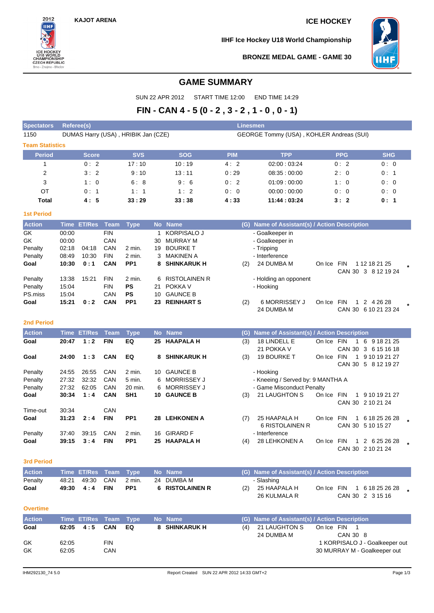$2012$ **IIHF** 

U18 WORLD<br>CHAMPIONSHIP<br>CZECH REPUBLIC<br>Brno - Znojmo - Břeclav

**IIHF Ice Hockey U18 World Championship**



**BRONZE MEDAL GAME - GAME 30**

# **GAME SUMMARY**

SUN 22 APR 2012 START TIME 12:00 END TIME 14:29

# **FIN - CAN 4 - 5 (0 - 2 , 3 - 2 , 1 - 0 , 0 - 1)**

| <b>Spectators</b>      | Referee(s)                                                                      |                    |                          |                     |         |                                 | <b>Linesmen</b> |                                               |            |              |                                       |  |
|------------------------|---------------------------------------------------------------------------------|--------------------|--------------------------|---------------------|---------|---------------------------------|-----------------|-----------------------------------------------|------------|--------------|---------------------------------------|--|
| 1150                   | DUMAS Harry (USA), HRIBIK Jan (CZE)<br>GEORGE Tommy (USA), KOHLER Andreas (SUI) |                    |                          |                     |         |                                 |                 |                                               |            |              |                                       |  |
| <b>Team Statistics</b> |                                                                                 |                    |                          |                     |         |                                 |                 |                                               |            |              |                                       |  |
| <b>Period</b>          |                                                                                 | <b>Score</b>       |                          | <b>SVS</b>          |         | <b>SOG</b>                      | <b>PIM</b>      | <b>TPP</b>                                    |            | <b>PPG</b>   | <b>SHG</b>                            |  |
| 1                      |                                                                                 | 0:2                |                          | 17:10               |         | 10:19                           | 4:2             | 02:00:03:24                                   |            | 0:2          | 0:0                                   |  |
| $\overline{2}$         |                                                                                 | 3:2                |                          | 9:10                |         | 13:11                           | 0:29            | 08:35:00:00                                   |            | 2:0          | 0: 1                                  |  |
| 3                      |                                                                                 | 1:0                |                          | 6:8                 |         | 9:6                             | 0:2             | 01:09:00:00                                   |            | 1:0          | 0:0                                   |  |
| ОT                     |                                                                                 | 0:1                |                          | 1:1                 |         | 1:2                             | 0:0             | 00:00:00:00                                   |            | 0:0          | 0:0                                   |  |
| Total                  |                                                                                 | 4:5                |                          | 33:29               |         | 33:38                           | 4:33            | 11:44:03:24                                   |            | 3:2          | 0: 1                                  |  |
| <b>1st Period</b>      |                                                                                 |                    |                          |                     |         |                                 |                 |                                               |            |              |                                       |  |
| <b>Action</b>          |                                                                                 | <b>Time ET/Res</b> | Team                     | <b>Type</b>         |         | No Name                         |                 | (G) Name of Assistant(s) / Action Description |            |              |                                       |  |
| GK                     | 00:00                                                                           |                    | <b>FIN</b>               |                     | 1       | <b>KORPISALO J</b>              |                 | - Goalkeeper in                               |            |              |                                       |  |
| GK                     | 00:00                                                                           |                    | CAN                      |                     | 30      | <b>MURRAY M</b>                 |                 | - Goalkeeper in                               |            |              |                                       |  |
| Penalty                | 02:18                                                                           | 04:18              | CAN                      | 2 min.              | 19      | <b>BOURKE T</b>                 |                 | - Tripping                                    |            |              |                                       |  |
| Penalty                | 08:49                                                                           | 10:30              | <b>FIN</b>               | 2 min.              | 3       | MAKINEN A                       |                 | - Interference                                |            |              |                                       |  |
| Goal                   | 10:30                                                                           | 0:1                | <b>CAN</b>               | PP <sub>1</sub>     |         | 8 SHINKARUK H                   | (2)             | 24 DUMBA M                                    | On Ice FIN |              | 1 12 18 21 25                         |  |
|                        |                                                                                 |                    |                          |                     |         |                                 |                 |                                               |            |              | CAN 30 3 8 12 19 24                   |  |
| Penalty<br>Penalty     | 13:38<br>15:04                                                                  | 15:21              | <b>FIN</b><br><b>FIN</b> | 2 min.<br><b>PS</b> | 6<br>21 | <b>RISTOLAINEN R</b><br>POKKA V |                 | - Holding an opponent<br>- Hooking            |            |              |                                       |  |
| PS.miss                | 15:04                                                                           |                    | CAN                      | PS                  | 10      | <b>GAUNCE B</b>                 |                 |                                               |            |              |                                       |  |
| Goal                   | 15:21                                                                           | 0:2                | <b>CAN</b>               | PP <sub>1</sub>     |         | 23 REINHART S                   | (2)             | <b>6 MORRISSEY J</b>                          | On Ice FIN | $\mathbf{1}$ | 2 4 26 28                             |  |
|                        |                                                                                 |                    |                          |                     |         |                                 |                 | 24 DUMBA M                                    |            |              | CAN 30 6 10 21 23 24                  |  |
| <b>2nd Period</b>      |                                                                                 |                    |                          |                     |         |                                 |                 |                                               |            |              |                                       |  |
|                        |                                                                                 |                    |                          |                     |         |                                 |                 |                                               |            |              |                                       |  |
| <b>Action</b>          |                                                                                 | <b>Time ET/Res</b> | <b>Team</b>              | <b>Type</b>         |         | No Name                         | (G)             | Name of Assistant(s) / Action Description     |            |              |                                       |  |
| Goal                   | 20:47                                                                           | 1:2                | <b>FIN</b>               | EQ                  |         | 25 HAAPALA H                    | (3)             | 18 LINDELL E<br>21 POKKA V                    | On Ice FIN |              | 1 6 9 18 21 25<br>CAN 30 3 6 15 16 18 |  |
| Goal                   | 24:00                                                                           | 1:3                | <b>CAN</b>               | EQ                  | 8       | <b>SHINKARUK H</b>              | (3)             | <b>19 BOURKE T</b>                            | On Ice FIN |              | 1 9 10 19 21 27                       |  |
|                        |                                                                                 |                    |                          |                     |         |                                 |                 |                                               |            |              | CAN 30 5 8 12 19 27                   |  |
| Penalty                | 24:55                                                                           | 26:55              | CAN                      | 2 min.              |         | 10 GAUNCE B                     |                 | - Hooking                                     |            |              |                                       |  |
| Penalty                | 27:32                                                                           | 32:32              | CAN                      | 5 min.              | 6       | <b>MORRISSEY J</b>              |                 | - Kneeing / Served by: 9 MANTHA A             |            |              |                                       |  |
| Penalty                | 27:32                                                                           | 62:05              | CAN                      | 20 min.             | 6       | <b>MORRISSEY J</b>              |                 | - Game Misconduct Penalty                     |            |              |                                       |  |
| Goal                   | 30:34                                                                           | 1:4                | <b>CAN</b>               | SH <sub>1</sub>     |         | 10 GAUNCE B                     | (3)             | 21 LAUGHTON S                                 | On Ice FIN |              | 1 9 10 19 21 27<br>CAN 30 2 10 21 24  |  |
| Time-out               | 30:34                                                                           |                    | CAN                      |                     |         |                                 |                 |                                               |            |              |                                       |  |
| Goal                   | 31:23                                                                           | 2:4                | <b>FIN</b>               | PP <sub>1</sub>     |         | 28 LEHKONEN A                   | (7)             | 25 HAAPALA H                                  | On Ice FIN | $\mathbf{1}$ | 6 18 25 26 28                         |  |
|                        |                                                                                 |                    |                          |                     |         |                                 |                 | <b>6 RISTOLAINEN R</b>                        |            |              | CAN 30 5 10 15 27                     |  |
| Penalty                | 37:40                                                                           | 39:15              | CAN                      | 2 min.              |         | 16 GIRARD F                     |                 | - Interference                                |            |              |                                       |  |
| Goal                   | 39:15                                                                           | 3:4                | <b>FIN</b>               | PP <sub>1</sub>     |         | 25 HAAPALA H                    | (4)             | 28 LEHKONEN A                                 | On Ice FIN |              | 1 2 6 25 26 28                        |  |
|                        |                                                                                 |                    |                          |                     |         |                                 |                 |                                               |            |              | CAN 30 2 10 21 24                     |  |
| <b>3rd Period</b>      |                                                                                 |                    |                          |                     |         |                                 |                 |                                               |            |              |                                       |  |
| <b>Action</b>          |                                                                                 | <b>Time ET/Res</b> | <b>Team</b>              | <b>Type</b>         |         | No Name                         |                 | (G) Name of Assistant(s) / Action Description |            |              |                                       |  |
| Penalty                | 48:21                                                                           | 49:30              | CAN                      | 2 min.              |         | 24 DUMBA M                      |                 | - Slashing                                    |            |              |                                       |  |
| Goal                   | 49:30                                                                           | 4:4                | <b>FIN</b>               | PP <sub>1</sub>     |         | 6 RISTOLAINEN R                 | (2)             | 25 HAAPALA H                                  | On Ice FIN |              | 1 6 18 25 26 28                       |  |
|                        |                                                                                 |                    |                          |                     |         |                                 |                 | 26 KULMALA R                                  |            |              | CAN 30 2 3 15 16                      |  |
| <b>Overtime</b>        |                                                                                 |                    |                          |                     |         |                                 |                 |                                               |            |              |                                       |  |
| <b>Action</b>          |                                                                                 | Time ET/Res        | Team                     | <b>Type</b>         |         | No Name                         |                 | (G) Name of Assistant(s) / Action Description |            |              |                                       |  |
| Goal                   | 62:05                                                                           | 4:5                | <b>CAN</b>               | EQ                  |         | 8 SHINKARUK H                   | (4)             | 21 LAUGHTON S                                 | On Ice FIN | $\mathbf{1}$ |                                       |  |
|                        |                                                                                 |                    |                          |                     |         |                                 |                 | 24 DUMBA M                                    |            | CAN 30 8     |                                       |  |
| GK                     | 62:05                                                                           |                    | <b>FIN</b>               |                     |         |                                 |                 |                                               |            |              | 1 KORPISALO J - Goalkeeper out        |  |
|                        |                                                                                 |                    |                          |                     |         |                                 |                 |                                               |            |              |                                       |  |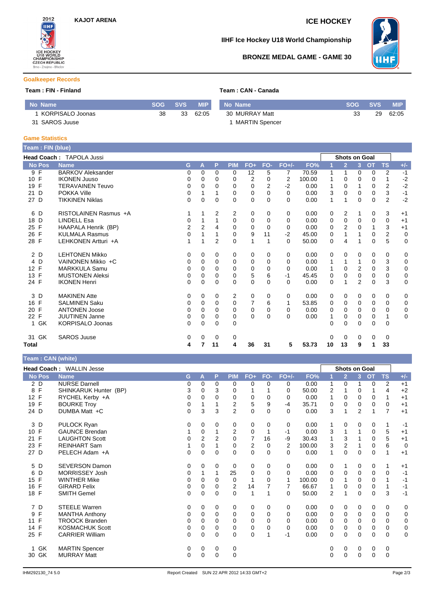

### **IIHF Ice Hockey U18 World Championship**



### **BRONZE MEDAL GAME - GAME 30**

#### **Goalkeeper Records**

# **Team : FIN - Finland Team : CAN - Canada**

|  |  | Team : CAN - Canada |
|--|--|---------------------|
|  |  |                     |

| No Name          | <b>SOG</b> | <b>SVS</b> | <b>MIP</b> | No Name        | <b>SOG</b> | <b>SVS</b> | MIP.  |
|------------------|------------|------------|------------|----------------|------------|------------|-------|
| KORPISALO Joonas | 38         | 33         | 62:05      | 30 MURRAY Matt |            | 29         | 62:05 |
| 31 SAROS Juuse   |            |            |            | MARTIN Spencer |            |            |       |

#### **Game Statistics**

| Team : FIN (blue)  |                                 |                |                |          |             |                |          |                |        |          |                      |                |             |                |             |
|--------------------|---------------------------------|----------------|----------------|----------|-------------|----------------|----------|----------------|--------|----------|----------------------|----------------|-------------|----------------|-------------|
|                    | <b>Head Coach: TAPOLA Jussi</b> |                |                |          |             |                |          |                |        |          | <b>Shots on Goal</b> |                |             |                |             |
| <b>No Pos</b>      | <b>Name</b>                     | G              | A              | P        | <b>PIM</b>  | FO+            | FO-      | $FO+/-$        | FO%    |          | $\overline{2}$       | 3              | <b>OT</b>   | <b>TS</b>      | $+/-$       |
| 9 F                | <b>BARKOV Aleksander</b>        | 0              | 0              | 0        | 0           | 12             | 5        | $\overline{7}$ | 70.59  | 1        | 1                    | 0              | $\mathbf 0$ | $\overline{2}$ | $-1$        |
| F<br>10            | <b>IKONEN Juuso</b>             | 0              | 0              | $\Omega$ | 0           | $\overline{2}$ | $\Omega$ | 2              | 100.00 | 1        | $\Omega$             | 0              | 0           | 1              | $-2$        |
| F<br>19            | <b>TERAVAINEN Teuvo</b>         | 0              | 0              | 0        | 0           | 0              | 2        | $-2$           | 0.00   | 1        | 0                    | 1              | 0           | 2              | $-2$        |
| D<br>21            | <b>POKKA Ville</b>              | 0              | 1              |          | 0           | $\Omega$       | 0        | $\Omega$       | 0.00   | 3        | $\Omega$             | $\Omega$       | 0           | 3              | $-1$        |
| 27 D               | <b>TIKKINEN Niklas</b>          | 0              | 0              | 0        | $\Omega$    | 0              | 0        | 0              | 0.00   | 1        | 1                    | 0              | 0           | $\overline{2}$ | $-2$        |
| D<br>6             | RISTOLAINEN Rasmus +A           |                | 1              | 2        | 2           | 0              | 0        | 0              | 0.00   | 0        | 2                    |                | 0           | 3              | $+1$        |
| D<br>18            | <b>LINDELL Esa</b>              | 0              | 1              |          | $\mathbf 0$ | 0              | $\Omega$ | 0              | 0.00   | 0        | $\mathbf 0$          | $\Omega$       | 0           | $\mathbf 0$    | $+1$        |
| F<br>25            | HAAPALA Henrik (BP)             | $\overline{2}$ | $\overline{2}$ | 4        | $\Omega$    | $\Omega$       | $\Omega$ | $\Omega$       | 0.00   | 0        | $\overline{2}$       | $\Omega$       | 1           | 3              | $+1$        |
| F<br>26            | <b>KULMALA Rasmus</b>           | 0              | 1              |          | 0           | 9              | 11       | $-2$           | 45.00  | 0        | 1                    | 1              | 0           | 2              | $\mathbf 0$ |
| 28 F               | LEHKONEN Artturi +A             |                | 1              | 2        | $\Omega$    | 1              |          | $\Omega$       | 50.00  | 0        | 4                    |                | 0           | 5              | $\mathbf 0$ |
| 2 D                | <b>LEHTONEN Mikko</b>           | 0              | 0              | 0        | 0           | 0              | 0        | 0              | 0.00   | 0        | 0                    | 0              | 0           | 0              | 0           |
| 4 D                | VAINONEN Mikko +C               | 0              | 0              | 0        | 0           | 0              | 0        | 0              | 0.00   | 1        | 1                    | 1              | 0           | 3              | 0           |
| 12 F               | <b>MARKKULA Samu</b>            | 0              | 0              | 0        | 0           | 0              | 0        | $\Omega$       | 0.00   | 1        | 0                    | $\overline{2}$ | 0           | 3              | $\mathbf 0$ |
| F<br>13            | <b>MUSTONEN Aleksi</b>          | 0              | 0              | $\Omega$ | $\mathbf 0$ | 5              | 6        | $-1$           | 45.45  | 0        | 0                    | 0              | 0           | $\mathbf 0$    | $\mathbf 0$ |
| 24 F               | <b>IKONEN Henri</b>             | $\Omega$       | $\Omega$       | $\Omega$ | $\Omega$    | $\Omega$       | $\Omega$ | $\Omega$       | 0.00   | $\Omega$ | 1                    | $\overline{2}$ | $\Omega$    | 3              | $\mathbf 0$ |
| 3D                 | <b>MAKINEN Atte</b>             | 0              | $\Omega$       | $\Omega$ | 2           | 0              | $\Omega$ | 0              | 0.00   | 0        | 0                    | 0              | 0           | 0              | 0           |
| F<br>16            | <b>SALMINEN Saku</b>            | 0              | 0              | $\Omega$ | 0           | 7              | 6        | 1              | 53.85  | 0        | 0                    | 0              | 0           | $\mathbf 0$    | 0           |
| $\mathsf{F}$<br>20 | <b>ANTONEN Joose</b>            | 0              | $\Omega$       | $\Omega$ | $\Omega$    | 0              | $\Omega$ | 0              | 0.00   | 0        | 0                    | $\Omega$       | 0           | 0              | 0           |
| $\mathsf{F}$<br>22 | <b>JUUTINEN Janne</b>           | 0              | 0              | $\Omega$ | 0           | $\Omega$       | $\Omega$ | 0              | 0.00   | 1        | 0                    | 0              | 0           | 1              | 0           |
| 1 GK               | <b>KORPISALO Joonas</b>         | 0              | 0              | $\Omega$ | $\mathbf 0$ |                |          |                |        | 0        | 0                    | $\Omega$       | $\mathbf 0$ | $\mathbf 0$    |             |
| <b>GK</b><br>31    | <b>SAROS Juuse</b>              | 0              | 0              | 0        | 0           |                |          |                |        | 0        | 0                    | 0              | 0           | 0              |             |
| Total              |                                 | 4              |                | 11       | 4           | 36             | 31       | 5              | 53.73  | 10       | 13                   | 9              | 1           | 33             |             |

|  | Team: CAN (white) |  |  |
|--|-------------------|--|--|
|--|-------------------|--|--|

| $\cdots$           |                          |             |                |                |                |                |             |                |        |                |                      |                |                |                |             |
|--------------------|--------------------------|-------------|----------------|----------------|----------------|----------------|-------------|----------------|--------|----------------|----------------------|----------------|----------------|----------------|-------------|
|                    | Head Coach: WALLIN Jesse |             |                |                |                |                |             |                |        |                | <b>Shots on Goal</b> |                |                |                |             |
| <b>No Pos</b>      | <b>Name</b>              | G           | A              | P              | <b>PIM</b>     | $FO+$          | FO-         | $FO+/-$        | FO%    |                | $\overline{2}$       | $\overline{3}$ | O <sub>T</sub> | <b>TS</b>      | $+/-$       |
| 2 D                | <b>NURSE Darnell</b>     | 0           | 0              | 0              | $\mathbf 0$    | 0              | $\Omega$    | 0              | 0.00   | 1              | 0                    |                | $\mathbf 0$    | 2              | $+1$        |
| 8 F                | SHINKARUK Hunter (BP)    | 3           | 0              | 3              | 0              |                |             | 0              | 50.00  | 2              | 1                    | 0              |                | $\overline{4}$ | $+2$        |
| 12 F               | RYCHEL Kerby +A          | 0           | $\Omega$       | 0              | $\mathbf 0$    | 0              | $\mathbf 0$ | 0              | 0.00   | 1              | 0                    | 0              | 0              | $\mathbf{1}$   | $+1$        |
| 19 F               | <b>BOURKE Troy</b>       | 0           |                |                | 2              | 5              | 9           | -4             | 35.71  | 0              | 0                    | $\mathbf 0$    | 0              | $\mathbf 0$    | $+1$        |
| 24 D               | DUMBA Matt +C            | $\Omega$    | 3              | 3              | $\overline{2}$ | $\Omega$       | $\Omega$    | $\Omega$       | 0.00   | 3              | 1                    | $\overline{2}$ |                | $\overline{7}$ | $+1$        |
| 3 D                | PULOCK Ryan              | 0           | 0              | 0              | 0              | 0              | 0           | 0              | 0.00   | 1              | 0                    | 0              | 0              | 1              | -1          |
| 10 F               | <b>GAUNCE Brendan</b>    |             | 0              |                | 2              | 0              |             | $-1$           | 0.00   | 3              | 1                    |                | 0              | 5              | $+1$        |
| 21 F               | <b>LAUGHTON Scott</b>    | 0           | $\overline{2}$ | $\overline{2}$ | $\Omega$       | $\overline{7}$ | 16          | -9             | 30.43  |                | 3                    |                | $\mathbf 0$    | 5              | $+1$        |
| 23<br>$\mathsf{F}$ | <b>REINHART Sam</b>      |             | $\Omega$       |                | $\mathbf 0$    | $\overline{2}$ | $\Omega$    | $\overline{2}$ | 100.00 | 3              | $\overline{2}$       |                | $\Omega$       | 6              | $\mathbf 0$ |
| 27 D               | PELECH Adam +A           | $\Omega$    | $\Omega$       | $\Omega$       | $\Omega$       | $\mathbf 0$    | $\Omega$    | 0              | 0.00   |                | $\overline{0}$       | $\Omega$       | $\Omega$       | 1              | $+1$        |
| 5 D                | <b>SEVERSON Damon</b>    | 0           | 0              | 0              | 0              | 0              | 0           | 0              | 0.00   | 0              | 1                    | 0              | 0              | 1              | $+1$        |
| 6<br>D             | <b>MORRISSEY Josh</b>    | 0           |                | 1              | 25             | $\mathbf 0$    | $\Omega$    | 0              | 0.00   | $\Omega$       | 0                    | $\Omega$       | $\Omega$       | $\mathbf 0$    | $-1$        |
| $\mathsf{F}$<br>15 | <b>WINTHER Mike</b>      | 0           | 0              | 0              | $\mathbf 0$    | 1              | 0           | 1              | 100.00 | 0              |                      | 0              | 0              | $\mathbf{1}$   | $-1$        |
| $\mathsf{F}$<br>16 | <b>GIRARD Felix</b>      | $\mathbf 0$ | $\Omega$       | $\Omega$       | 2              | 14             |             | 7              | 66.67  |                | 0                    | 0              | 0              | 1              | -1          |
| 18 F               | <b>SMITH Gemel</b>       | 0           | $\Omega$       | $\Omega$       | $\Omega$       | 1              |             | 0              | 50.00  | $\overline{2}$ | 1                    | $\Omega$       | $\Omega$       | 3              | $-1$        |
| 7 D                | <b>STEELE Warren</b>     | 0           | 0              | 0              | 0              | 0              | 0           | 0              | 0.00   | 0              | 0                    | 0              | 0              | 0              | 0           |
| F<br>9             | <b>MANTHA Anthony</b>    | 0           | 0              | 0              | 0              | 0              | 0           | 0              | 0.00   | 0              | 0                    | 0              | 0              | $\mathbf 0$    | 0           |
| F<br>11            | <b>TROOCK Branden</b>    | 0           | $\Omega$       | $\Omega$       | $\Omega$       | 0              | $\Omega$    | 0              | 0.00   | $\Omega$       | 0                    | $\Omega$       | $\Omega$       | 0              | 0           |
| $\mathsf{F}$<br>14 | <b>KOSMACHUK Scott</b>   | 0           | 0              | $\Omega$       | 0              | 0              | $\Omega$    | 0              | 0.00   | 0              | 0                    | 0              | 0              | 0              | 0           |
| 25 F               | <b>CARRIER William</b>   | $\Omega$    | $\mathbf 0$    | $\Omega$       | 0              | $\pmb{0}$      | 1           | $-1$           | 0.00   | 0              | 0                    | $\Omega$       | $\mathbf 0$    | $\mathbf 0$    | $\mathbf 0$ |
| 1 GK               | <b>MARTIN Spencer</b>    | 0           | 0              | 0              | 0              |                |             |                |        | 0              | 0                    | 0              | 0              | 0              |             |
| 30 GK              | <b>MURRAY Matt</b>       | 0           | 0              | 0              | 0              |                |             |                |        | 0              | 0                    | 0              | 0              | $\mathbf 0$    |             |